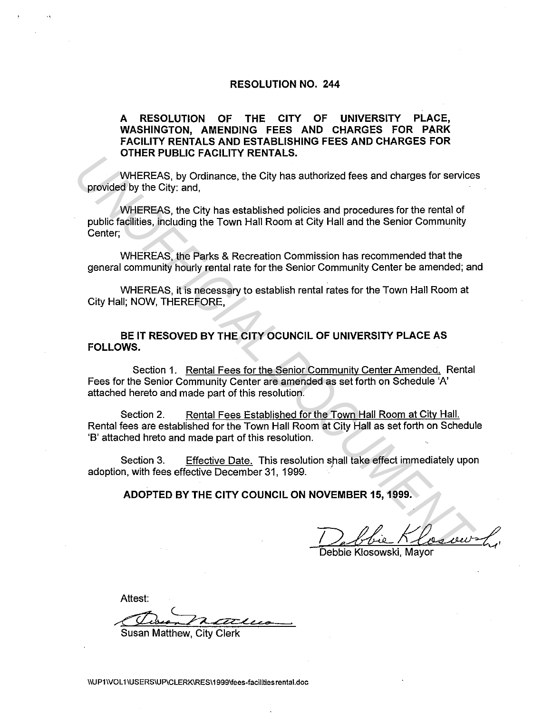### **RESOLUTION NO. 244**

## **A RESOLUTION OF THE CITY OF UNIVERSITY PLACE, WASHINGTON, AMENDING FEES AND CHARGES FOR PARK FACILITY RENTALS AND ESTABLISHING FEES AND CHARGES FOR OTHER PUBLIC FACILITY RENTALS.**

WHEREAS, by Ordinance, the City has authorized fees and charges for services provided by the City: and,

WHEREAS, the City has established policies and procedures for the rental of public facilities, including the Town Hall Room at City Hall and the Senior Community Center;

WHEREAS, the Parks & Recreation Commission has recommended that the general community hourly rental rate for the Senior Community Center be amended; and

WHEREAS, it is necessary to establish rental rates for the Town Hall Room at City Hall; NOW, THEREFORE,

## **BE IT RESOVED BY THE CITY OCUNCIL OF UNIVERSITY PLACE AS FOLLOWS.**

Section 1. Rental Fees for the Senior Community Center Amended. Rental Fees for the Senior Community Center are amended as set forth on Schedule 'A' attached hereto and made part of this resolution.

Section 2. Rental Fees Established for the Town Hall Room at City Hall. Rental fees are established for the Town Hall Room at City Hall as set forth on Schedule 'B' attached hreto and made part of this resolution. UTILE TO COUNCILE TO EDUCTIVE TRAFFICIAL CONDUCTS.<br>
WHEREAS, by Ordinance, the City has authorized fees and charges for services<br>
provided by the City; and,<br>
WHEREAS, the City has established policies and procedures for t

Section 3. Effective Date. This resolution shall take effect immediately upon adoption, with fees effective December 31, 1999. .

**ADOPTED BY THE CITY COUNCIL ON NOVEMBER 15, 1999.** 

Debbie Klosowshi

Attest:

Susan Matthew, City Clerk

llUP1\VOL1 IUSERSIUP\CLERK\RES\1999\fees·facilities rental.doc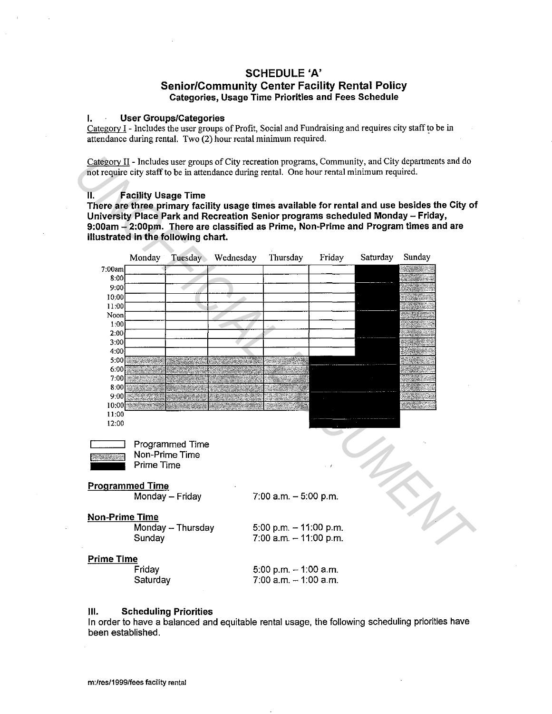## **SCHEDULE 'A'**

### **Senior/Community Center Facility Rental Policy Categories, Usage Time Priorities and Fees Schedule**

#### **I. User Groups/Categories**

Category I - Includes the user groups of Profit, Social and Fundraising and requires city staff to be in attendance during rental. Two (2) hour rental minimum required. .

Category II - Includes user groups of City recreation programs, Community, and City departtnents and do not require city staff to be in attendance during rental. One hour rental minimum required.

#### **II. Facility Usage Time**

**There are three primary facility usage times available for rental and use besides the City of University Place Park and Recreation Senior programs scheduled Monday - Friday, 9:00am - 2:00pm. There are classified as Prime, Non-Prime and Program times and are illustrated in the following chart.** 



#### **Ill. Scheduling Priorities**

In order to have a balanced and equitable rental usage, the following scheduling priorities have been established.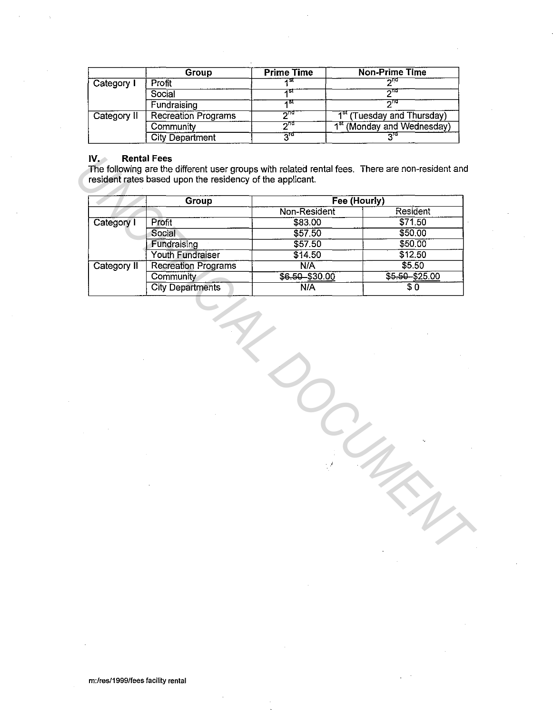|             | Group                      | <b>Prime Time</b> | <b>Non-Prime Time</b>                  |
|-------------|----------------------------|-------------------|----------------------------------------|
| Category I  | Profit                     |                   | ∽⊓α                                    |
|             | Social                     |                   | ستتم                                   |
|             | Fundraising                | 4 SI              | טווה                                   |
| Category II | <b>Recreation Programs</b> | নাব               | 1 <sup>st</sup> (Tuesday and Thursday) |
|             | Community                  | ⊼π⊄               | 1 <sup>st</sup> (Monday and Wednesday) |
|             | <b>City Department</b>     | יים               |                                        |

## **IV. Rental Fees**

|             | Group                      | Fee (Hourly)   |                    |
|-------------|----------------------------|----------------|--------------------|
|             |                            | Non-Resident   | Resident           |
| Category I  | Profit                     | \$83.00        | \$71.50            |
|             | Social                     | \$57.50        | \$50.00            |
|             | Fundraising                | \$57.50        | \$50.00            |
|             | Youth Fundraiser           | \$14.50        | \$12.50            |
| Category II | <b>Recreation Programs</b> | N/A            | \$5.50             |
|             | Community                  | \$6.50 \$30.00 | $$5 - 50 - $25.00$ |
|             | <b>City Departments</b>    | <b>N/A</b>     | $\overline{\$0}$   |
|             |                            |                |                    |
|             |                            |                |                    |